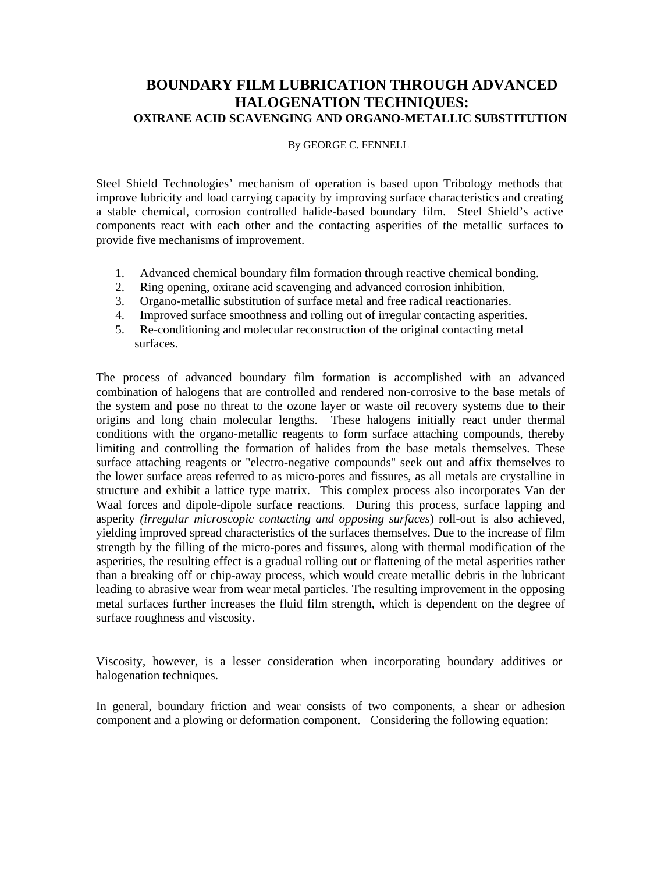## **BOUNDARY FILM LUBRICATION THROUGH ADVANCED HALOGENATION TECHNIQUES: OXIRANE ACID SCAVENGING AND ORGANO-METALLIC SUBSTITUTION**

## By GEORGE C. FENNELL

Steel Shield Technologies' mechanism of operation is based upon Tribology methods that improve lubricity and load carrying capacity by improving surface characteristics and creating a stable chemical, corrosion controlled halide-based boundary film. Steel Shield's active components react with each other and the contacting asperities of the metallic surfaces to provide five mechanisms of improvement.

- 1. Advanced chemical boundary film formation through reactive chemical bonding.
- 2. Ring opening, oxirane acid scavenging and advanced corrosion inhibition.
- 3. Organo-metallic substitution of surface metal and free radical reactionaries.
- 4. Improved surface smoothness and rolling out of irregular contacting asperities.
- 5. Re-conditioning and molecular reconstruction of the original contacting metal surfaces.

The process of advanced boundary film formation is accomplished with an advanced combination of halogens that are controlled and rendered non-corrosive to the base metals of the system and pose no threat to the ozone layer or waste oil recovery systems due to their origins and long chain molecular lengths. These halogens initially react under thermal conditions with the organo-metallic reagents to form surface attaching compounds, thereby limiting and controlling the formation of halides from the base metals themselves. These surface attaching reagents or "electro-negative compounds" seek out and affix themselves to the lower surface areas referred to as micro-pores and fissures, as all metals are crystalline in structure and exhibit a lattice type matrix. This complex process also incorporates Van der Waal forces and dipole-dipole surface reactions. During this process, surface lapping and asperity *(irregular microscopic contacting and opposing surfaces*) roll-out is also achieved, yielding improved spread characteristics of the surfaces themselves. Due to the increase of film strength by the filling of the micro-pores and fissures, along with thermal modification of the asperities, the resulting effect is a gradual rolling out or flattening of the metal asperities rather than a breaking off or chip-away process, which would create metallic debris in the lubricant leading to abrasive wear from wear metal particles. The resulting improvement in the opposing metal surfaces further increases the fluid film strength, which is dependent on the degree of surface roughness and viscosity.

Viscosity, however, is a lesser consideration when incorporating boundary additives or halogenation techniques.

In general, boundary friction and wear consists of two components, a shear or adhesion component and a plowing or deformation component. Considering the following equation: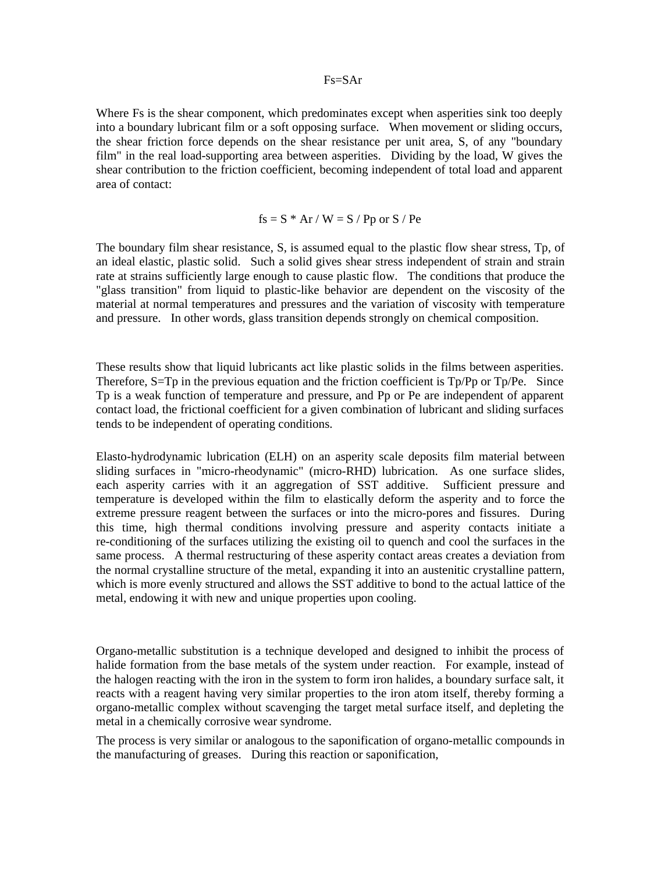## Fs=SAr

Where Fs is the shear component, which predominates except when asperities sink too deeply into a boundary lubricant film or a soft opposing surface. When movement or sliding occurs, the shear friction force depends on the shear resistance per unit area, S, of any "boundary film" in the real load-supporting area between asperities. Dividing by the load, W gives the shear contribution to the friction coefficient, becoming independent of total load and apparent area of contact:

$$
fs = S * Ar / W = S / Pp or S / Pe
$$

The boundary film shear resistance, S, is assumed equal to the plastic flow shear stress, Tp, of an ideal elastic, plastic solid. Such a solid gives shear stress independent of strain and strain rate at strains sufficiently large enough to cause plastic flow. The conditions that produce the "glass transition" from liquid to plastic-like behavior are dependent on the viscosity of the material at normal temperatures and pressures and the variation of viscosity with temperature and pressure. In other words, glass transition depends strongly on chemical composition.

These results show that liquid lubricants act like plastic solids in the films between asperities. Therefore, S=Tp in the previous equation and the friction coefficient is Tp/Pp or Tp/Pe. Since Tp is a weak function of temperature and pressure, and Pp or Pe are independent of apparent contact load, the frictional coefficient for a given combination of lubricant and sliding surfaces tends to be independent of operating conditions.

Elasto-hydrodynamic lubrication (ELH) on an asperity scale deposits film material between sliding surfaces in "micro-rheodynamic" (micro-RHD) lubrication. As one surface slides, each asperity carries with it an aggregation of SST additive. Sufficient pressure and temperature is developed within the film to elastically deform the asperity and to force the extreme pressure reagent between the surfaces or into the micro-pores and fissures. During this time, high thermal conditions involving pressure and asperity contacts initiate a re-conditioning of the surfaces utilizing the existing oil to quench and cool the surfaces in the same process. A thermal restructuring of these asperity contact areas creates a deviation from the normal crystalline structure of the metal, expanding it into an austenitic crystalline pattern, which is more evenly structured and allows the SST additive to bond to the actual lattice of the metal, endowing it with new and unique properties upon cooling.

Organo-metallic substitution is a technique developed and designed to inhibit the process of halide formation from the base metals of the system under reaction. For example, instead of the halogen reacting with the iron in the system to form iron halides, a boundary surface salt, it reacts with a reagent having very similar properties to the iron atom itself, thereby forming a organo-metallic complex without scavenging the target metal surface itself, and depleting the metal in a chemically corrosive wear syndrome.

The process is very similar or analogous to the saponification of organo-metallic compounds in the manufacturing of greases. During this reaction or saponification,